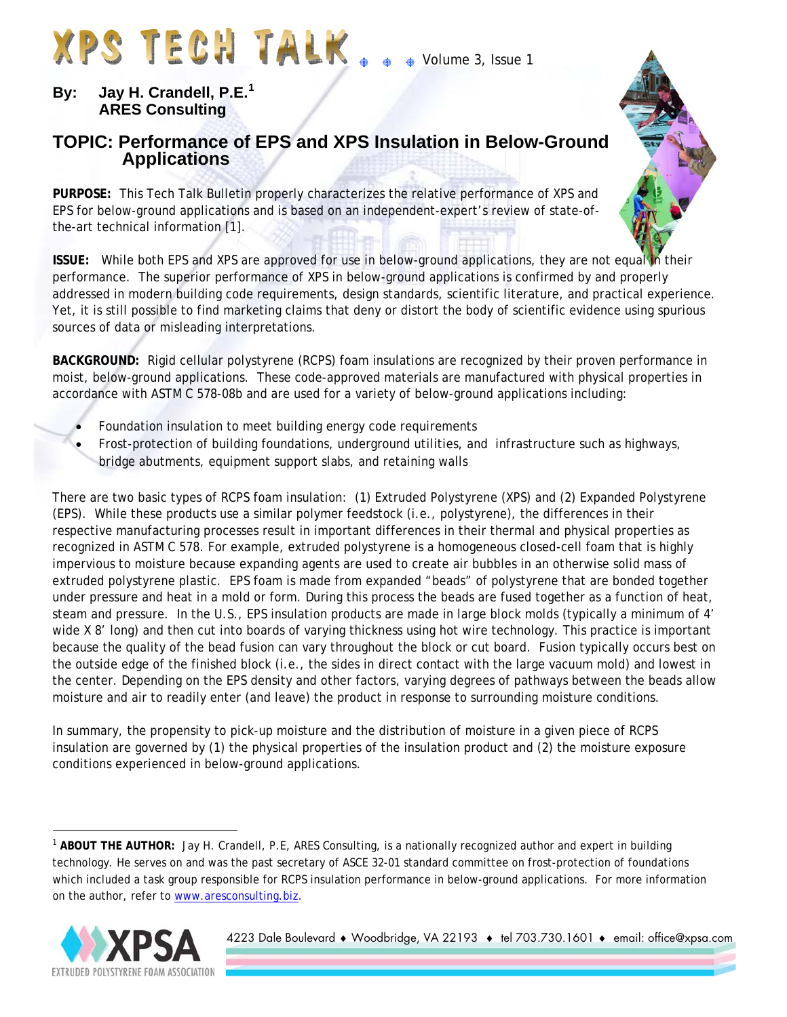# XPS TECH TALK..

• Volume 3, Issue 1

#### **By: Jay H. Crandell, P.E.[1](#page-0-0) ARES Consulting**

# **TOPIC: Performance of EPS and XPS Insulation in Below-Ground Applications**

**PURPOSE:** This Tech Talk Bulletin properly characterizes the relative performance of XPS and EPS for below-ground applications and is based on an independent-expert's review of state-ofthe-art technical information [1].

**ISSUE:** While both EPS and XPS are approved for use in below-ground applications, they are not equal in their performance. The superior performance of XPS in below-ground applications is confirmed by and properly addressed in modern building code requirements, design standards, scientific literature, and practical experience. Yet, it is still possible to find marketing claims that deny or distort the body of scientific evidence using spurious sources of data or misleading interpretations.

**BACKGROUND:** Rigid cellular polystyrene (RCPS) foam insulations are recognized by their proven performance in moist, below-ground applications. These code-approved materials are manufactured with physical properties in accordance with ASTM C 578-08b and are used for a variety of below-ground applications including:

- Foundation insulation to meet building energy code requirements
- Frost-protection of building foundations, underground utilities, and infrastructure such as highways, bridge abutments, equipment support slabs, and retaining walls

There are two basic types of RCPS foam insulation: (1) Extruded Polystyrene (XPS) and (2) Expanded Polystyrene (EPS). While these products use a similar polymer feedstock (i.e., polystyrene), the differences in their respective manufacturing processes result in important differences in their thermal and physical properties as recognized in ASTM C 578. For example, extruded polystyrene is a homogeneous closed-cell foam that is highly impervious to moisture because expanding agents are used to create air bubbles in an otherwise solid mass of extruded polystyrene plastic. EPS foam is made from expanded "beads" of polystyrene that are bonded together under pressure and heat in a mold or form. During this process the beads are fused together as a function of heat, steam and pressure. In the U.S., EPS insulation products are made in large block molds (typically a minimum of 4' wide X 8' long) and then cut into boards of varying thickness using hot wire technology. This practice is important because the quality of the bead fusion can vary throughout the block or cut board. Fusion typically occurs best on the outside edge of the finished block (i.e., the sides in direct contact with the large vacuum mold) and lowest in the center. Depending on the EPS density and other factors, varying degrees of pathways between the beads allow moisture and air to readily enter (and leave) the product in response to surrounding moisture conditions.

In summary, the propensity to pick-up moisture and the distribution of moisture in a given piece of RCPS insulation are governed by (1) the physical properties of the insulation product and (2) the moisture exposure conditions experienced in below-ground applications.

<span id="page-0-0"></span><sup>&</sup>lt;sup>1</sup> ABOUT THE AUTHOR: Jay H. Crandell, P.E, ARES Consulting, is a nationally recognized author and expert in building technology. He serves on and was the past secretary of ASCE 32-01 standard committee on frost-protection of foundations which included a task group responsible for RCPS insulation performance in below-ground applications. For more information on the author, refer to [www.aresconsulting.biz](http://www.aresconsulting.biz/).



 $\overline{a}$ 

4223 Dale Boulevard ♦ Woodbridge, VA 22193 ♦ tel 703.730.1601 ♦ email: office@xpsa.com

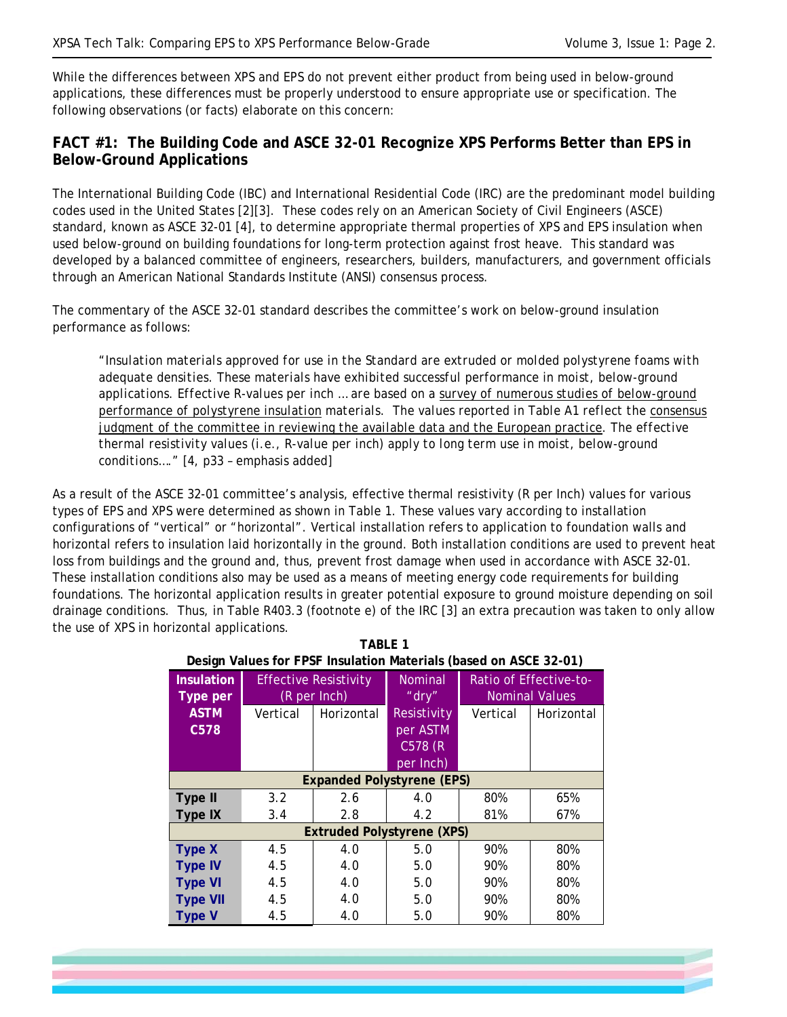-

While the differences between XPS and EPS do not prevent either product from being used in below-ground applications, these differences must be properly understood to ensure appropriate use or specification. The following observations (or facts) elaborate on this concern:

#### **FACT #1: The Building Code and ASCE 32-01 Recognize XPS Performs Better than EPS in Below-Ground Applications**

The International Building Code (IBC) and International Residential Code (IRC) are the predominant model building codes used in the United States [2][3]. These codes rely on an American Society of Civil Engineers (ASCE) standard, known as ASCE 32-01 [4], to determine appropriate thermal properties of XPS and EPS insulation when used below-ground on building foundations for long-term protection against frost heave. This standard was developed by a balanced committee of engineers, researchers, builders, manufacturers, and government officials through an American National Standards Institute (ANSI) consensus process.

The commentary of the ASCE 32-01 standard describes the committee's work on below-ground insulation performance as follows:

*"Insulation materials approved for use in the Standard are extruded or molded polystyrene foams with adequate densities. These materials have exhibited successful performance in moist, below-ground applications. Effective R-values per inch … are based on a survey of numerous studies of below-ground performance of polystyrene insulation materials. The values reported in Table A1 reflect the consensus judgment of the committee in reviewing the available data and the European practice. The effective thermal resistivity values (i.e., R-value per inch) apply to long term use in moist, below-ground conditions…."* [4, p33 – emphasis added]

As a result of the ASCE 32-01 committee's analysis, effective thermal resistivity (R per Inch) values for various types of EPS and XPS were determined as shown in Table 1. These values vary according to installation configurations of "vertical" or "horizontal". Vertical installation refers to application to foundation walls and horizontal refers to insulation laid horizontally in the ground. Both installation conditions are used to prevent heat loss from buildings and the ground and, thus, prevent frost damage when used in accordance with ASCE 32-01. These installation conditions also may be used as a means of meeting energy code requirements for building foundations. The horizontal application results in greater potential exposure to ground moisture depending on soil drainage conditions. Thus, in Table R403.3 (footnote e) of the IRC [3] an extra precaution was taken to only allow the use of XPS in horizontal applications.

**TABLE 1** 

| Design Values for FPSF Insulation Materials (based on ASCE 32-01) |                                              |            |                               |                                                 |            |
|-------------------------------------------------------------------|----------------------------------------------|------------|-------------------------------|-------------------------------------------------|------------|
| <b>Insulation</b><br>Type per                                     | <b>Effective Resistivity</b><br>(R per Inch) |            | Nominal<br>" $\mathsf{dry}$ " | Ratio of Effective-to-<br><b>Nominal Values</b> |            |
| <b>ASTM</b>                                                       | Vertical                                     | Horizontal | Resistivity                   | Vertical                                        | Horizontal |
| C578                                                              |                                              |            | per ASTM                      |                                                 |            |
|                                                                   |                                              |            | C578 (R                       |                                                 |            |
| per Inch)<br><b>Expanded Polystyrene (EPS)</b>                    |                                              |            |                               |                                                 |            |
|                                                                   |                                              |            |                               |                                                 |            |
| Type II                                                           | 3.2                                          | 2.6        | 4.0                           | 80%                                             | 65%        |
| <b>Type IX</b>                                                    | 3.4                                          | 2.8        | 4.2                           | 81%                                             | 67%        |
| <b>Extruded Polystyrene (XPS)</b>                                 |                                              |            |                               |                                                 |            |
| <b>Type X</b>                                                     | 4.5                                          | 4.0        | 5.0                           | 90%                                             | 80%        |
| <b>Type IV</b>                                                    | 4.5                                          | 4.0        | 5.0                           | 90%                                             | 80%        |
| <b>Type VI</b>                                                    | 4.5                                          | 4.0        | 5.0                           | 90%                                             | 80%        |
| <b>Type VII</b>                                                   | 4.5                                          | 4.0        | 5.0                           | 90%                                             | 80%        |
| <b>Type V</b>                                                     | 4.5                                          | 4.0        | 5.0                           | 90%                                             | 80%        |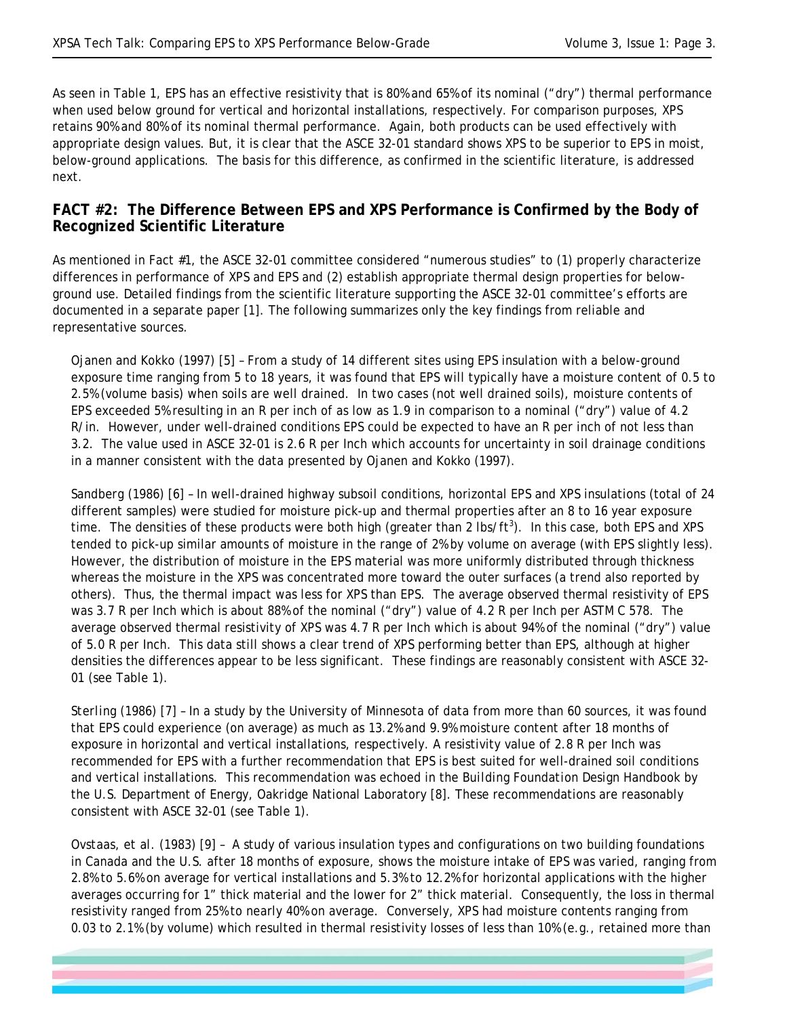-

As seen in Table 1, EPS has an effective resistivity that is 80% and 65% of its nominal ("dry") thermal performance when used below ground for vertical and horizontal installations, respectively. For comparison purposes, XPS retains 90% and 80% of its nominal thermal performance. Again, both products can be used effectively with appropriate design values. But, it is clear that the ASCE 32-01 standard shows XPS to be superior to EPS in moist, below-ground applications. The basis for this difference, as confirmed in the scientific literature, is addressed next.

#### **FACT #2: The Difference Between EPS and XPS Performance is Confirmed by the Body of Recognized Scientific Literature**

As mentioned in Fact #1, the ASCE 32-01 committee considered "numerous studies" to (1) properly characterize differences in performance of XPS and EPS and (2) establish appropriate thermal design properties for belowground use. Detailed findings from the scientific literature supporting the ASCE 32-01 committee's efforts are documented in a separate paper [1]. The following summarizes only the key findings from reliable and representative sources.

*Ojanen and Kokko (1997)* [5] – From a study of 14 different sites using EPS insulation with a below-ground exposure time ranging from 5 to 18 years, it was found that EPS will typically have a moisture content of 0.5 to 2.5% (volume basis) when soils are well drained. In two cases (not well drained soils), moisture contents of EPS exceeded 5% resulting in an R per inch of as low as 1.9 in comparison to a nominal ("dry") value of 4.2 R/in. However, under well-drained conditions EPS could be expected to have an R per inch of not less than 3.2. The value used in ASCE 32-01 is 2.6 R per Inch which accounts for uncertainty in soil drainage conditions in a manner consistent with the data presented by Ojanen and Kokko (1997).

*Sandberg (1986)* [6] – In well-drained highway subsoil conditions, horizontal EPS and XPS insulations (total of 24 different samples) were studied for moisture pick-up and thermal properties after an 8 to 16 year exposure time. The densities of these products were both high (greater than 2 lbs/ft<sup>3</sup>). In this case, both EPS and XPS tended to pick-up similar amounts of moisture in the range of 2% by volume on average (with EPS slightly less). However, the distribution of moisture in the EPS material was more uniformly distributed through thickness whereas the moisture in the XPS was concentrated more toward the outer surfaces (a trend also reported by others). Thus, the thermal impact was less for XPS than EPS. The average observed thermal resistivity of EPS was 3.7 R per Inch which is about 88% of the nominal ("dry") value of 4.2 R per Inch per ASTM C 578. The average observed thermal resistivity of XPS was 4.7 R per Inch which is about 94% of the nominal ("dry") value of 5.0 R per Inch. This data still shows a clear trend of XPS performing better than EPS, although at higher densities the differences appear to be less significant. These findings are reasonably consistent with ASCE 32- 01 (see Table 1).

*Sterling (1986)* [7] – In a study by the University of Minnesota of data from more than 60 sources, it was found that EPS could experience (on average) as much as 13.2% and 9.9% moisture content after 18 months of exposure in horizontal and vertical installations, respectively. A resistivity value of 2.8 R per Inch was recommended for EPS with a further recommendation that EPS is best suited for well-drained soil conditions and vertical installations. This recommendation was echoed in the *Building Foundation Design Handbook* by the U.S. Department of Energy, Oakridge National Laboratory [8]. These recommendations are reasonably consistent with ASCE 32-01 (see Table 1).

*Ovstaas, et al. (1983)* [9] – A study of various insulation types and configurations on two building foundations in Canada and the U.S. after 18 months of exposure, shows the moisture intake of EPS was varied, ranging from 2.8% to 5.6% on average for vertical installations and 5.3% to 12.2% for horizontal applications with the higher averages occurring for 1" thick material and the lower for 2" thick material. Consequently, the loss in thermal resistivity ranged from 25% to nearly 40% on average. Conversely, XPS had moisture contents ranging from 0.03 to 2.1% (by volume) which resulted in thermal resistivity losses of less than 10% (e.g., retained more than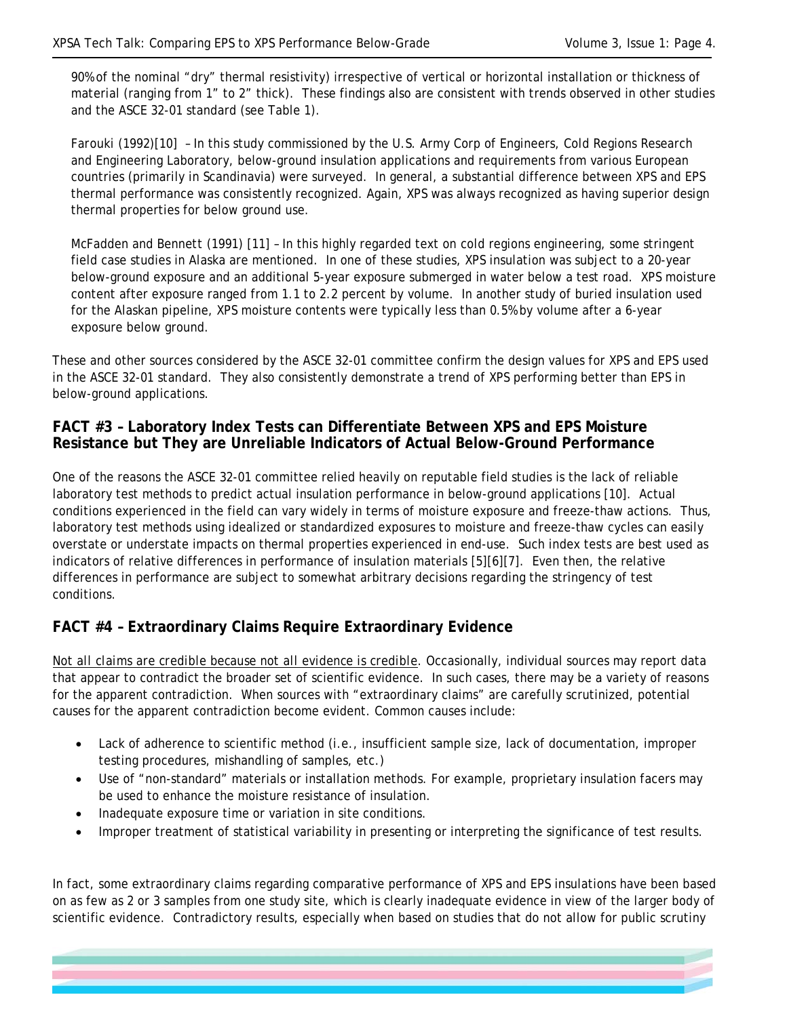-

90% of the nominal "dry" thermal resistivity) irrespective of vertical or horizontal installation or thickness of material (ranging from 1" to 2" thick). These findings also are consistent with trends observed in other studies and the ASCE 32-01 standard (see Table 1).

*Farouki (1992)*[10] – In this study commissioned by the U.S. Army Corp of Engineers, Cold Regions Research and Engineering Laboratory, below-ground insulation applications and requirements from various European countries (primarily in Scandinavia) were surveyed. In general, a substantial difference between XPS and EPS thermal performance was consistently recognized. Again, XPS was always recognized as having superior design thermal properties for below ground use.

*McFadden and Bennett (1991)* [11] – In this highly regarded text on cold regions engineering, some stringent field case studies in Alaska are mentioned. In one of these studies, XPS insulation was subject to a 20-year below-ground exposure and an additional 5-year exposure submerged in water below a test road. XPS moisture content after exposure ranged from 1.1 to 2.2 percent by volume. In another study of buried insulation used for the Alaskan pipeline, XPS moisture contents were typically less than 0.5% by volume after a 6-year exposure below ground.

These and other sources considered by the ASCE 32-01 committee confirm the design values for XPS and EPS used in the ASCE 32-01 standard. They also consistently demonstrate a trend of XPS performing better than EPS in below-ground applications.

## **FACT #3 – Laboratory Index Tests can Differentiate Between XPS and EPS Moisture Resistance but They are Unreliable Indicators of Actual Below-Ground Performance**

One of the reasons the ASCE 32-01 committee relied heavily on reputable field studies is the lack of reliable laboratory test methods to predict actual insulation performance in below-ground applications [10]. Actual conditions experienced in the field can vary widely in terms of moisture exposure and freeze-thaw actions. Thus, laboratory test methods using idealized or standardized exposures to moisture and freeze-thaw cycles can easily overstate or understate impacts on thermal properties experienced in end-use. Such index tests are best used as indicators of relative differences in performance of insulation materials [5][6][7]. Even then, the relative differences in performance are subject to somewhat arbitrary decisions regarding the stringency of test conditions.

## **FACT #4 – Extraordinary Claims Require Extraordinary Evidence**

*Not all claims are credible because not all evidence is credible.* Occasionally, individual sources may report data that appear to contradict the broader set of scientific evidence. In such cases, there may be a variety of reasons for the apparent contradiction. When sources with "extraordinary claims" are carefully scrutinized, potential causes for the apparent contradiction become evident. Common causes include:

- Lack of adherence to scientific method (i.e., insufficient sample size, lack of documentation, improper testing procedures, mishandling of samples, etc.)
- Use of "non-standard" materials or installation methods. For example, proprietary insulation facers may be used to enhance the moisture resistance of insulation.
- Inadequate exposure time or variation in site conditions.
- Improper treatment of statistical variability in presenting or interpreting the significance of test results.

In fact, some extraordinary claims regarding comparative performance of XPS and EPS insulations have been based on as few as 2 or 3 samples from one study site, which is clearly inadequate evidence in view of the larger body of scientific evidence. Contradictory results, especially when based on studies that do not allow for public scrutiny